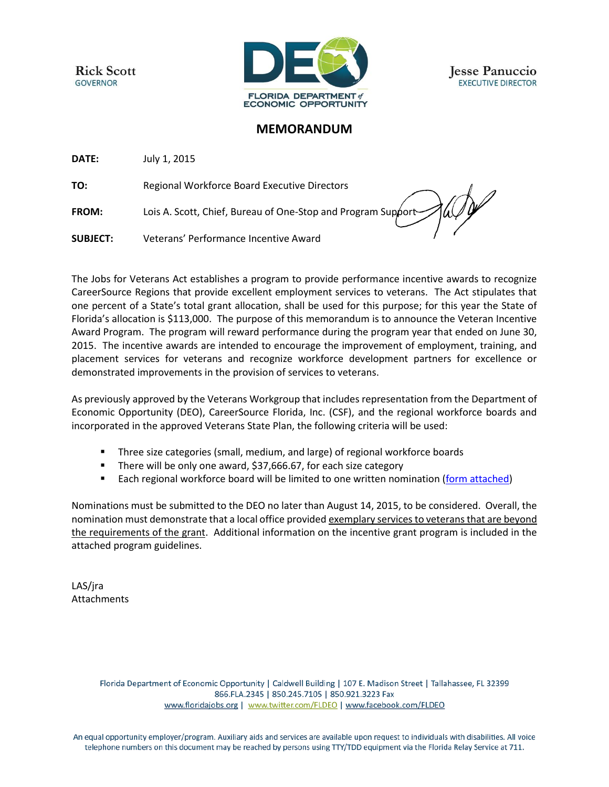**Rick Scott GOVERNOR** 



**Jesse Panuccio EXECUTIVE DIRECTOR** 

# **MEMORANDUM**

**DATE:** July 1, 2015

**TO:** Regional Workforce Board Executive Directors

**FROM:** Lois A. Scott, Chief, Bureau of One-Stop and Program Support

**SUBJECT:** Veterans' Performance Incentive Award

The Jobs for Veterans Act establishes a program to provide performance incentive awards to recognize CareerSource Regions that provide excellent employment services to veterans. The Act stipulates that one percent of a State's total grant allocation, shall be used for this purpose; for this year the State of Florida's allocation is \$113,000. The purpose of this memorandum is to announce the Veteran Incentive Award Program. The program will reward performance during the program year that ended on June 30, 2015. The incentive awards are intended to encourage the improvement of employment, training, and placement services for veterans and recognize workforce development partners for excellence or demonstrated improvements in the provision of services to veterans.

As previously approved by the Veterans Workgroup that includes representation from the Department of Economic Opportunity (DEO), CareerSource Florida, Inc. (CSF), and the regional workforce boards and incorporated in the approved Veterans State Plan, the following criteria will be used:

- **Three size categories (small, medium, and large) of regional workforce boards**
- There will be only one award, \$37,666.67, for each size category
- **Each regional workforce board will be limited to one written nomination [\(form attached\)](http://sitefinity.floridajobs.org/docs/default-source/2015-memoranda/vetsincntveawards_nomform2015.doc?sfvrsn=2)**

Nominations must be submitted to the DEO no later than August 14, 2015, to be considered. Overall, the nomination must demonstrate that a local office provided exemplary services to veterans that are beyond the requirements of the grant. Additional information on the incentive grant program is included in the attached program guidelines.

LAS/jra Attachments

> Florida Department of Economic Opportunity | Caldwell Building | 107 E. Madison Street | Tallahassee, FL 32399 866.FLA.2345 | 850.245.7105 | 850.921.3223 Fax www.floridajobs.org | www.twitter.com/FLDEO | www.facebook.com/FLDEO

An equal opportunity employer/program. Auxiliary aids and services are available upon request to individuals with disabilities. All voice telephone numbers on this document may be reached by persons using TTY/TDD equipment via the Florida Relay Service at 711.